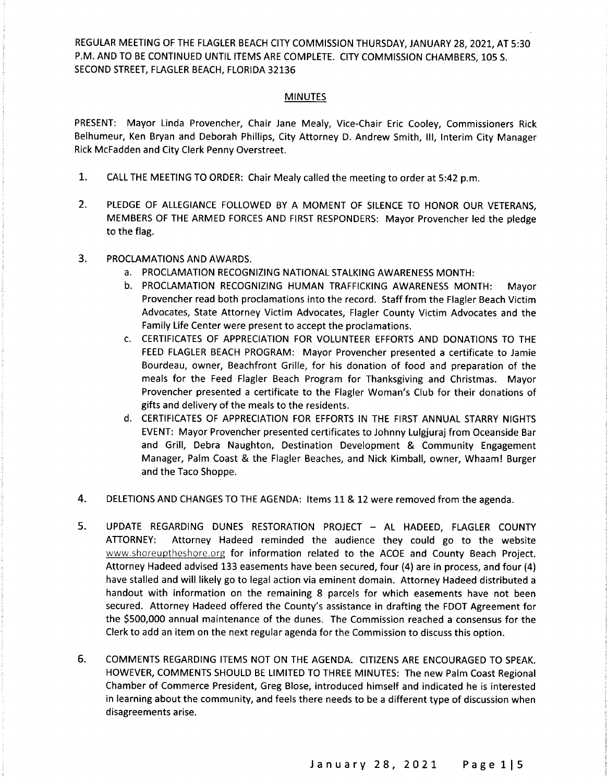REGULAR MEETING OF THE FLAGLER BEACH CITY COMMISSION THURSDAY, JANUARY 28, 2021, AT 5: 30 P.M. AND TO BE CONTINUED UNTIL ITEMS ARE COMPLETE. CITY COMMISSION CHAMBERS, 105 S. SECOND STREET, FLAGLER BEACH, FLORIDA 32136

#### **MINUTES**

PRESENT: Mayor Linda Provencher, Chair Jane Mealy, Vice -Chair Eric Cooley, Commissioners Rick Belhumeur, Ken Bryan and Deborah Phillips, City Attorney D. Andrew Smith, III, Interim City Manager Rick McFadden and City Clerk Penny Overstreet.

- 1. CALL THE MEETING TO ORDER: Chair Mealy called the meeting to order at 5: 42 p. m.
- 2. PLEDGE OF ALLEGIANCE FOLLOWED BY A MOMENT OF SILENCE TO HONOR OUR VETERANS, MEMBERS OF THE ARMED FORCES AND FIRST RESPONDERS: Mayor Provencher led the pledge to the flag.
- 3. PROCLAMATIONS AND AWARDS.
	- a. PROCLAMATION RECOGNIZING NATIONAL STALKING AWARENESS MONTH:
	- b. PROCLAMATION RECOGNIZING HUMAN TRAFFICKING AWARENESS MONTH: Mayor Provencher read both proclamations into the record. Staff from the Flagler Beach Victim Advocates, State Attorney Victim Advocates, Flagler County Victim Advocates and the Family Life Center were present to accept the proclamations.
	- c. CERTIFICATES OF APPRECIATION FOR VOLUNTEER EFFORTS AND DONATIONS TO THE FEED FLAGLER BEACH PROGRAM: Mayor Provencher presented <sup>a</sup> certificate to Jamie Bourdeau, owner, Beachfront Grille, for his donation of food and preparation of the meals for the Feed Flagler Beach Program for Thanksgiving and Christmas. Mayor Provencher presented a certificate to the Flagler Woman's Club for their donations of gifts and delivery of the meals to the residents.
	- d. CERTIFICATES OF APPRECIATION FOR EFFORTS IN THE FIRST ANNUAL STARRY NIGHTS EVENT: Mayor Provencher presented certificates to Johnny Lulgjuraj from Oceanside Bar and Grill, Debra Naughton, Destination Development & Community Engagement Manager, Palm Coast & the Flagler Beaches, and Nick Kimball, owner, Whaaml Burger and the Taco Shoppe.
- 4. DELETIONS AND CHANGES TO THE AGENDA: Items 11 & 12 were removed from the agenda.
- 5. UPDATE REGARDING DUNES RESTORATION PROJECT AL HADEED, FLAGLER COUNTY ATTORNEY: Attorney Hadeed reminded the audience they could go to the website www.shoreuptheshore.org for information related to the ACOE and County Beach Project. Attorney Hadeed advised 133 easements have been secured, four (4) are in process, and four (4) have stalled and will likely go to legal action via eminent domain. Attorney Hadeed distributed <sup>a</sup> handout with information on the remaining 8 parcels for which easements have not been secured. Attorney Hadeed offered the County's assistance in drafting the FDOT Agreement for the \$500,000 annual maintenance of the dunes. The Commission reached a consensus for the Clerk to add an item on the next regular agenda for the Commission to discuss this option.
- 6. COMMENTS REGARDING ITEMS NOT ON THE AGENDA. CITIZENS ARE ENCOURAGED TO SPEAK. HOWEVER, COMMENTS SHOULD BE LIMITED TO THREE MINUTES: The new Palm Coast Regional Chamber of Commerce President, Greg Blose, introduced himself and indicated he is interested in learning about the community, and feels there needs to be <sup>a</sup> different type of discussion when disagreements arise.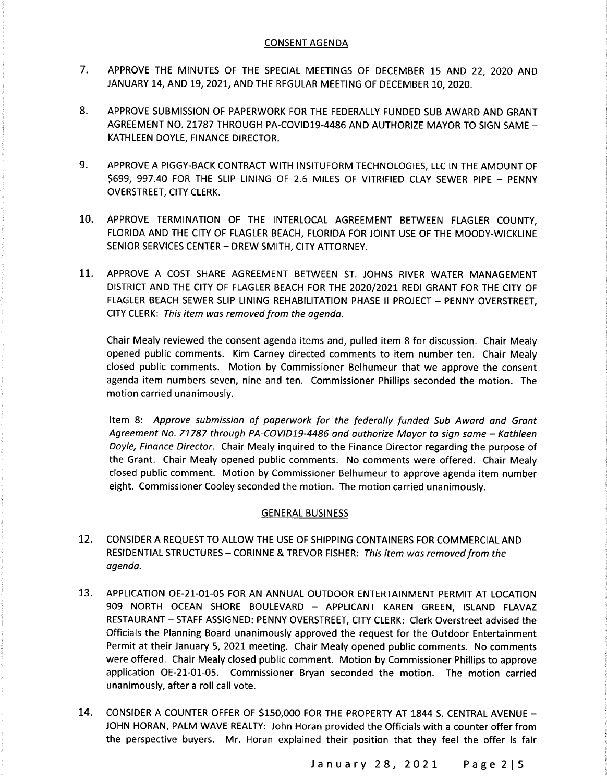## CONSENT AGENDA

- 7. APPROVE THE MINUTES OF THE SPECIAL MEETINGS OF DECEMBER 15 AND 22, 2020 AND JANUARY 14, AND 19, 2021, AND THE REGULAR MEETING OF DECEMBER 10, 2020.
- 8. APPROVE SUBMISSION OF PAPERWORK FOR THE FEDERALLY FUNDED SUB AWARD AND GRANT AGREEMENT NO. Z1787 THROUGH PA-COVID19-4486 AND AUTHORIZE MAYOR TO SIGN SAME -KATHLEEN DOYLE, FINANCE DIRECTOR.
- 9. APPROVE A PIGGY -BACK CONTRACT WITH INSITUFORM TECHNOLOGIES, LLC IN THE AMOUNT OF \$699, 997.40 FOR THE SLIP LINING OF 2.6 MILES OF VITRIFIED CLAY SEWER PIPE - PENNY OVERSTREET, CITY CLERK.
- 10. APPROVE TERMINATION OF THE INTERLOCAL AGREEMENT BETWEEN FLAGLER COUNTY, FLORIDA AND THE CITY OF FLAGLER BEACH, FLORIDA FOR JOINT USE OF THE MOODY-WICKLINE SENIOR SERVICES CENTER — DREW SMITH, CITY ATTORNEY.
- 11. APPROVE A COST SHARE AGREEMENT BETWEEN ST. JOHNS RIVER WATER MANAGEMENT DISTRICT AND THE CITY OF FLAGLER BEACH FOR THE 2020/2021 REDI GRANT FOR THE CITY OF FLAGLER BEACH SEWER SLIP LINING REHABILITATION PHASE II PROJECT — PENNY OVERSTREET, CITY CLERK: This item was removed from the agenda.

Chair Mealy reviewed the consent agenda items and, pulled item 8 for discussion. Chair Mealy opened public comments. Kim Carney directed comments to item number ten. Chair Mealy closed public comments. Motion by Commissioner Belhumeur that we approve the consent agenda item numbers seven, nine and ten. Commissioner Phillips seconded the motion. The motion carried unanimously.

Item 8: Approve submission of paperwork for the federally funded Sub Award and Grant Agreement No. Z1787 through PA-COVID19-4486 and authorize Mayor to sign same - Kathleen Doyle, Finance Director. Chair Mealy inquired to the Finance Director regarding the purpose of the Grant. Chair Mealy opened public comments. No comments were offered. Chair Mealy closed public comment. Motion by Commissioner Belhumeur to approve agenda item number eight. Commissioner Cooley seconded the motion. The motion carried unanimously.

# GENERAL BUSINESS

- 12. CONSIDER A REQUEST TO ALLOW THE USE OF SHIPPING CONTAINERS FOR COMMERCIAL AND RESIDENTIAL STRUCTURES — CORINNE & TREVOR FISHER: This item was removed from the agenda.
- 13. APPLICATION OE-21-01-05 FOR AN ANNUAL OUTDOOR ENTERTAINMENT PERMIT AT LOCATION 909 NORTH OCEAN SHORE BOULEVARD — APPLICANT KAREN GREEN, ISLAND FLAVAZ RESTAURANT — STAFF ASSIGNED: PENNY OVERSTREET, CITY CLERK: Clerk Overstreet advised the Officials the Planning Board unanimously approved the request for the Outdoor Entertainment Permit at their January 5, 2021 meeting. Chair Mealy opened public comments. No comments were offered. Chair Mealy closed public comment. Motion by Commissioner Phillips to approve application OE-21-01-05. Commissioner Bryan seconded the motion. The motion carried unanimously, after <sup>a</sup> roll call vote.
- 14. CONSIDER A COUNTER OFFER OF \$150,000 FOR THE PROPERTY AT 1844 S. CENTRAL AVENUE -JOHN HORAN, PALM WAVE REALTY: John Horan provided the Officials with <sup>a</sup> counter offer from the perspective buyers. Mr. Horan explained their position that they feel the offer is fair

January 28, 2021 Page 215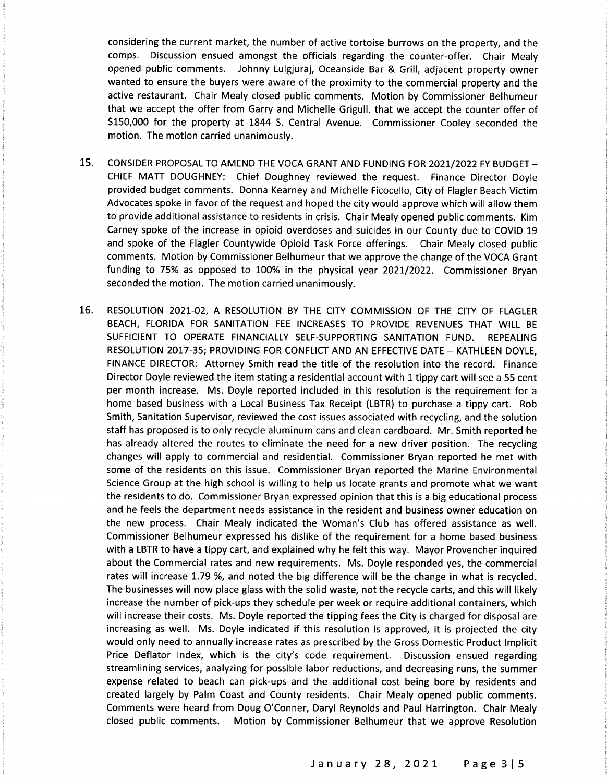considering the current market, the number of active tortoise burrows on the property, and the comps. Discussion ensued amongst the officials regarding the counter-offer. Chair Mealy opened public comments. Johnny Lulgjuraj, Oceanside Bar & Grill, adjacent property owner wanted to ensure the buyers were aware of the proximity to the commercial property and the active restaurant. Chair Mealy closed public comments. Motion by Commissioner Belhumeur that we accept the offer from Garry and Michelle Grigull, that we accept the counter offer of 150, 000 for the property at 1844 S. Central Avenue. Commissioner Cooley seconded the motion. The motion carried unanimously.

- 15. CONSIDER PROPOSAL TO AMEND THE VOCA GRANT AND FUNDING FOR 2021/2022 FY BUDGET -CHIEF MATT DOUGHNEY: Chief Doughney reviewed the request. Finance Director Doyle provided budget comments. Donna Kearney and Michelle Ficocello, City of Flagler Beach Victim Advocates spoke in favor of the request and hoped the city would approve which will allow them to provide additional assistance to residents in crisis. Chair Mealy opened public comments. Kim Carney spoke of the increase in opioid overdoses and suicides in our County due to COVID- 19 and spoke of the Flagler Countywide Opioid Task Force offerings. Chair Mealy closed public comments. Motion by Commissioner Belhumeur that we approve the change of the VOCA Grant funding to 75% as opposed to 100% in the physical year 2021/2022. Commissioner Bryan seconded the motion. The motion carried unanimously.
- 16. RESOLUTION 2021-02, A RESOLUTION BY THE CITY COMMISSION OF THE CITY OF FLAGLER BEACH, FLORIDA FOR SANITATION FEE INCREASES TO PROVIDE REVENUES THAT WILL BE SUFFICIENT TO OPERATE FINANCIALLY SELF-SUPPORTING SANITATION FUND. REPEALING RESOLUTION 2017-35; PROVIDING FOR CONFLICT AND AN EFFECTIVE DATE - KATHLEEN DOYLE, FINANCE DIRECTOR: Attorney Smith read the title of the resolution into the record. Finance Director Doyle reviewed the item stating <sup>a</sup> residential account with <sup>1</sup> tippy cart will see <sup>a</sup> 55 cent per month increase. Ms. Doyle reported included in this resolution is the requirement for <sup>a</sup> home based business with a Local Business Tax Receipt (LBTR) to purchase a tippy cart. Rob Smith, Sanitation Supervisor, reviewed the cost issues associated with recycling, and the solution staff has proposed is to only recycle aluminum cans and clean cardboard. Mr. Smith reported he has already altered the routes to eliminate the need for <sup>a</sup> new driver position. The recycling changes will apply to commercial and residential. Commissioner Bryan reported he met with some of the residents on this issue. Commissioner Bryan reported the Marine Environmental Science Group at the high school is willing to help us locate grants and promote what we want the residents to do. Commissioner Bryan expressed opinion that this is <sup>a</sup> big educational process and he feels the department needs assistance in the resident and business owner education on the new process. Chair Mealy indicated the Woman's Club has offered assistance as well. Commissioner Belhumeur expressed his dislike of the requirement for <sup>a</sup> home based business with <sup>a</sup> LBTR to have <sup>a</sup> tippy cart, and explained why he felt this way. Mayor Provencher inquired about the Commercial rates and new requirements. Ms. Doyle responded yes, the commercial rates will increase 1.79 %, and noted the big difference will be the change in what is recycled. The businesses will now place glass with the solid waste, not the recycle carts, and this will likely increase the number of pick-ups they schedule per week or require additional containers, which will increase their costs. Ms. Doyle reported the tipping fees the City is charged for disposal are increasing as well. Ms. Doyle indicated if this resolution is approved, it is projected the city would only need to annually increase rates as prescribed by the Gross Domestic Product Implicit Price Deflator Index, which is the city's code requirement. Discussion ensued regarding streamlining services, analyzing for possible labor reductions, and decreasing runs, the summer expense related to beach can pick-ups and the additional cost being bore by residents and created largely by Palm Coast and County residents. Chair Mealy opened public comments. Comments were heard from Doug O' Conner, Daryl Reynolds and Paul Harrington. Chair Mealy closed public comments. Motion by Commissioner Belhumeur that we approve Resolution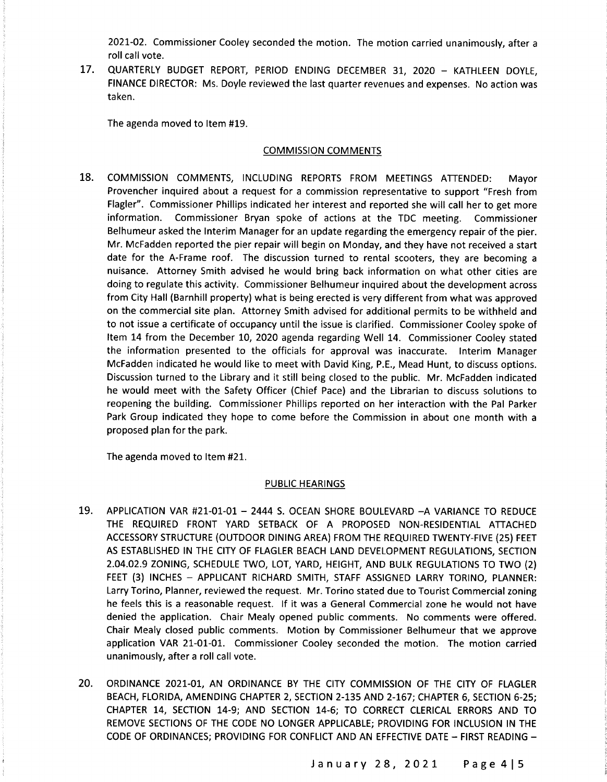2021-02. Commissioner Cooley seconded the motion. The motion carried unanimously, after a roll call vote.

17. QUARTERLY BUDGET REPORT, PERIOD ENDING DECEMBER 31, 2020 — KATHLEEN DOYLE, FINANCE DIRECTOR: Ms. Doyle reviewed the last quarter revenues and expenses. No action was taken.

The agenda moved to Item #19.

## COMMISSION COMMENTS

18. COMMISSION COMMENTS, INCLUDING REPORTS FROM MEETINGS ATTENDED: Mayor Provencher inquired about a request for a commission representative to support "Fresh from Flagler". Commissioner Phillips indicated her interest and reported she will call her to get more information. Commissioner Bryan spoke of actions at the TDC meeting. Commissioner Belhumeur asked the Interim Manager for an update regarding the emergency repair of the pier. Mr. McFadden reported the pier repair will begin on Monday, and they have not received <sup>a</sup> start date for the A-Frame roof. The discussion turned to rental scooters, they are becoming a nuisance. Attorney Smith advised he would bring back information on what other cities are doing to regulate this activity. Commissioner Belhumeur inquired about the development across from City Hall ( Barnhill property) what is being erected is very different from what was approved on the commercial site plan. Attorney Smith advised for additional permits to be withheld and to not issue <sup>a</sup> certificate of occupancy until the issue is clarified. Commissioner Cooley spoke of Item 14 from the December 10, 2020 agenda regarding Well 14. Commissioner Cooley stated the information presented to the officials for approval was inaccurate. Interim Manager McFadden indicated he would like to meet with David King, P.E., Mead Hunt, to discuss options. Discussion turned to the Library and it still being closed to the public. Mr. McFadden indicated he would meet with the Safety Officer ( Chief Pace) and the Librarian to discuss solutions to reopening the building. Commissioner Phillips reported on her interaction with the Pal Parker Park Group indicated they hope to come before the Commission in about one month with <sup>a</sup> proposed plan for the park.

The agenda moved to Item #21.

## PUBLIC HEARINGS

- 19. APPLICATION VAR #21-01-01 2444 S. OCEAN SHORE BOULEVARD -A VARIANCE TO REDUCE THE REQUIRED FRONT YARD SETBACK OF A PROPOSED NON-RESIDENTIAL ATTACHED ACCESSORY STRUCTURE (OUTDOOR DINING AREA) FROM THE REQUIRED TWENTY-FIVE (25) FEET AS ESTABLISHED IN THE CITY OF FLAGLER BEACH LAND DEVELOPMENT REGULATIONS, SECTION 2. 04. 02. 9 ZONING, SCHEDULE TWO, LOT, YARD, HEIGHT, AND BULK REGULATIONS TO TWO ( 2) FEET (3) INCHES - APPLICANT RICHARD SMITH, STAFF ASSIGNED LARRY TORINO, PLANNER: Larry Torino, Planner, reviewed the request. Mr. Torino stated due to Tourist Commercial zoning he feels this is <sup>a</sup> reasonable request. If it was <sup>a</sup> General Commercial zone he would not have denied the application. Chair Mealy opened public comments. No comments were offered. Chair Mealy closed public comments. Motion by Commissioner Belhumeur that we approve application VAR 21-01-01. Commissioner Cooley seconded the motion. The motion carried unanimously, after a roll call vote.
- 20. ORDINANCE 2021-01, AN ORDINANCE BY THE CITY COMMISSION OF THE CITY OF FLAGLER BEACH, FLORIDA, AMENDING CHAPTER 2, SECTION 2-135 AND 2-167; CHAPTER 6, SECTION 6-25; CHAPTER 14, SECTION 14-9; AND SECTION 14-6; TO CORRECT CLERICAL ERRORS AND TO REMOVE SECTIONS OF THE CODE NO LONGER APPLICABLE; PROVIDING FOR INCLUSION IN THE CODE OF ORDINANCES; PROVIDING FOR CONFLICT AND AN EFFECTIVE DATE — FIRST READING —

January 28, 2021 Page 415